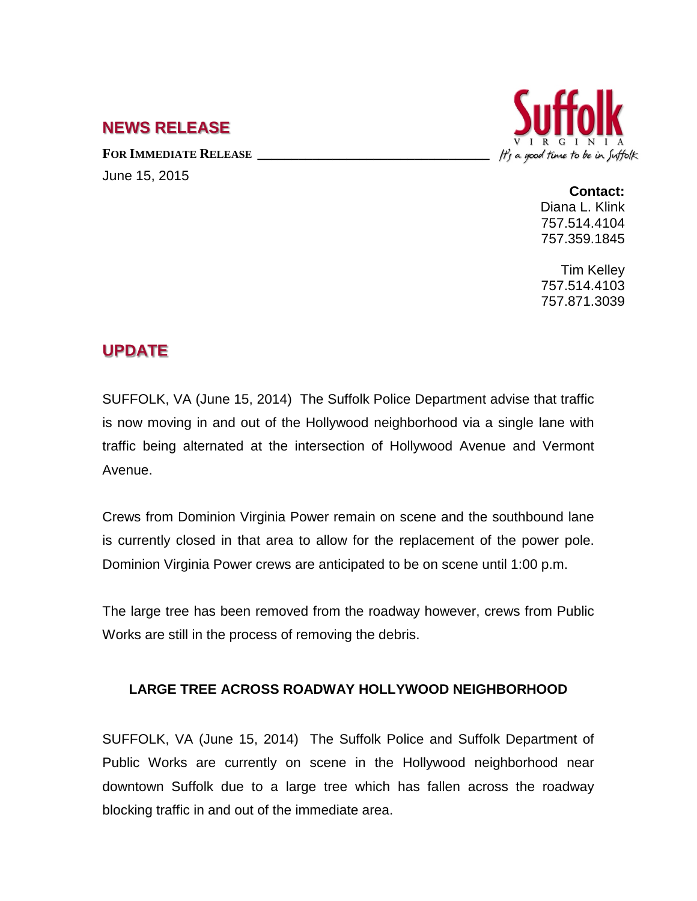## **NEWS RELEASE**

FOR **IMMEDIATE RELEASE** June 15, 2015



**Contact:** Diana L. Klink 757.514.4104 757.359.1845

Tim Kelley 757.514.4103 757.871.3039

## **UPDATE**

SUFFOLK, VA (June 15, 2014) The Suffolk Police Department advise that traffic is now moving in and out of the Hollywood neighborhood via a single lane with traffic being alternated at the intersection of Hollywood Avenue and Vermont Avenue.

Crews from Dominion Virginia Power remain on scene and the southbound lane is currently closed in that area to allow for the replacement of the power pole. Dominion Virginia Power crews are anticipated to be on scene until 1:00 p.m.

The large tree has been removed from the roadway however, crews from Public Works are still in the process of removing the debris.

## **LARGE TREE ACROSS ROADWAY HOLLYWOOD NEIGHBORHOOD**

SUFFOLK, VA (June 15, 2014) The Suffolk Police and Suffolk Department of Public Works are currently on scene in the Hollywood neighborhood near downtown Suffolk due to a large tree which has fallen across the roadway blocking traffic in and out of the immediate area.